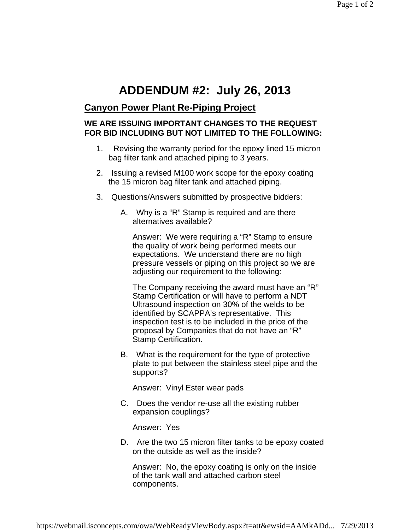## **ADDENDUM #2: July 26, 2013**

## **Canyon Power Plant Re-Piping Project**

## **WE ARE ISSUING IMPORTANT CHANGES TO THE REQUEST FOR BID INCLUDING BUT NOT LIMITED TO THE FOLLOWING:**

- 1. Revising the warranty period for the epoxy lined 15 micron bag filter tank and attached piping to 3 years.
- 2. Issuing a revised M100 work scope for the epoxy coating the 15 micron bag filter tank and attached piping.
- 3. Questions/Answers submitted by prospective bidders:
	- A. Why is a "R" Stamp is required and are there alternatives available?

Answer: We were requiring a "R" Stamp to ensure the quality of work being performed meets our expectations. We understand there are no high pressure vessels or piping on this project so we are adjusting our requirement to the following:

The Company receiving the award must have an "R" Stamp Certification or will have to perform a NDT Ultrasound inspection on 30% of the welds to be identified by SCAPPA's representative. This inspection test is to be included in the price of the proposal by Companies that do not have an "R" Stamp Certification.

B. What is the requirement for the type of protective plate to put between the stainless steel pipe and the supports?

Answer: Vinyl Ester wear pads

C. Does the vendor re-use all the existing rubber expansion couplings?

Answer: Yes

D. Are the two 15 micron filter tanks to be epoxy coated on the outside as well as the inside?

Answer: No, the epoxy coating is only on the inside of the tank wall and attached carbon steel components.